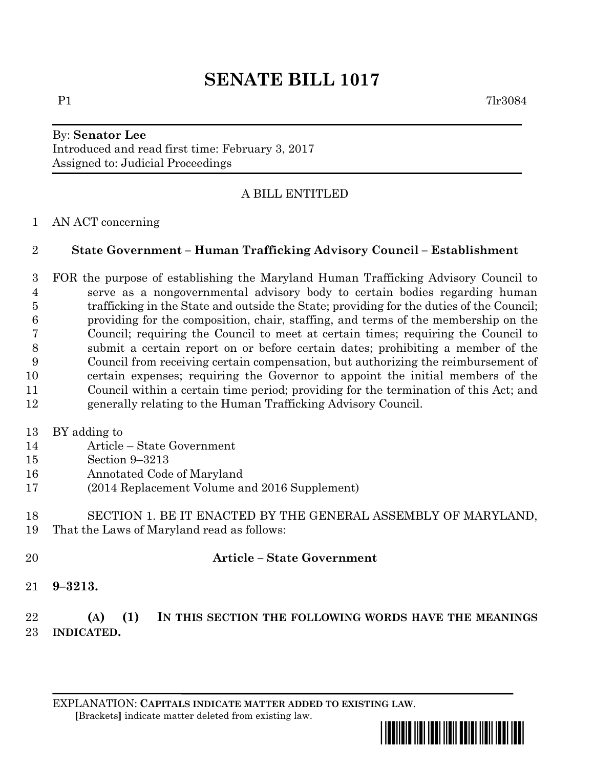### By: **Senator Lee** Introduced and read first time: February 3, 2017 Assigned to: Judicial Proceedings

# A BILL ENTITLED

## AN ACT concerning

## **State Government – Human Trafficking Advisory Council – Establishment**

 FOR the purpose of establishing the Maryland Human Trafficking Advisory Council to serve as a nongovernmental advisory body to certain bodies regarding human trafficking in the State and outside the State; providing for the duties of the Council; providing for the composition, chair, staffing, and terms of the membership on the Council; requiring the Council to meet at certain times; requiring the Council to submit a certain report on or before certain dates; prohibiting a member of the Council from receiving certain compensation, but authorizing the reimbursement of certain expenses; requiring the Governor to appoint the initial members of the Council within a certain time period; providing for the termination of this Act; and generally relating to the Human Trafficking Advisory Council.

### BY adding to

- Article State Government
- Section 9–3213
- Annotated Code of Maryland
- (2014 Replacement Volume and 2016 Supplement)
- SECTION 1. BE IT ENACTED BY THE GENERAL ASSEMBLY OF MARYLAND, That the Laws of Maryland read as follows:
- **Article – State Government**
- **9–3213.**

## **(A) (1) IN THIS SECTION THE FOLLOWING WORDS HAVE THE MEANINGS INDICATED.**

EXPLANATION: **CAPITALS INDICATE MATTER ADDED TO EXISTING LAW**.  **[**Brackets**]** indicate matter deleted from existing law.

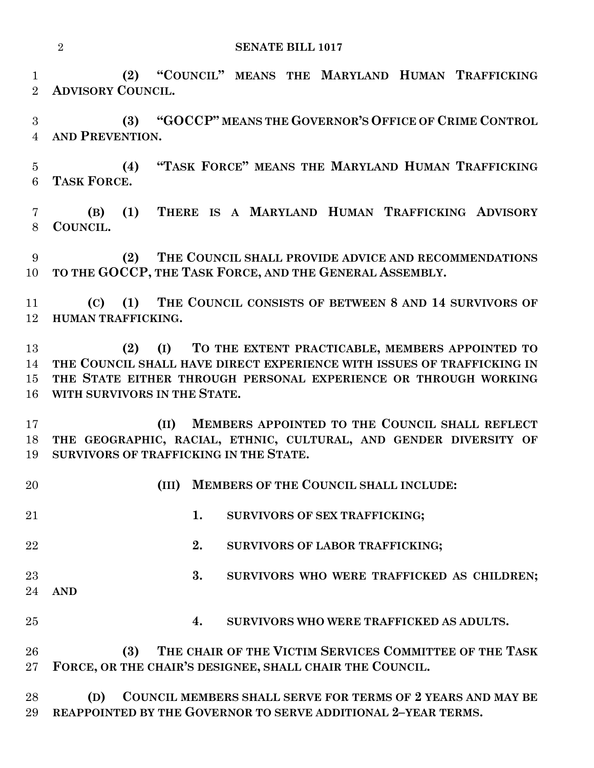**(2) "COUNCIL" MEANS THE MARYLAND HUMAN TRAFFICKING ADVISORY COUNCIL.**

 **(3) "GOCCP" MEANS THE GOVERNOR'S OFFICE OF CRIME CONTROL AND PREVENTION.**

 **(4) "TASK FORCE" MEANS THE MARYLAND HUMAN TRAFFICKING TASK FORCE.**

 **(B) (1) THERE IS A MARYLAND HUMAN TRAFFICKING ADVISORY COUNCIL.**

 **(2) THE COUNCIL SHALL PROVIDE ADVICE AND RECOMMENDATIONS TO THE GOCCP, THE TASK FORCE, AND THE GENERAL ASSEMBLY.**

 **(C) (1) THE COUNCIL CONSISTS OF BETWEEN 8 AND 14 SURVIVORS OF HUMAN TRAFFICKING.**

 **(2) (I) TO THE EXTENT PRACTICABLE, MEMBERS APPOINTED TO THE COUNCIL SHALL HAVE DIRECT EXPERIENCE WITH ISSUES OF TRAFFICKING IN THE STATE EITHER THROUGH PERSONAL EXPERIENCE OR THROUGH WORKING WITH SURVIVORS IN THE STATE.**

 **(II) MEMBERS APPOINTED TO THE COUNCIL SHALL REFLECT THE GEOGRAPHIC, RACIAL, ETHNIC, CULTURAL, AND GENDER DIVERSITY OF SURVIVORS OF TRAFFICKING IN THE STATE.**

 **(III) MEMBERS OF THE COUNCIL SHALL INCLUDE: 1. SURVIVORS OF SEX TRAFFICKING; 2. SURVIVORS OF LABOR TRAFFICKING; 3. SURVIVORS WHO WERE TRAFFICKED AS CHILDREN; AND 4. SURVIVORS WHO WERE TRAFFICKED AS ADULTS. (3) THE CHAIR OF THE VICTIM SERVICES COMMITTEE OF THE TASK FORCE, OR THE CHAIR'S DESIGNEE, SHALL CHAIR THE COUNCIL. (D) COUNCIL MEMBERS SHALL SERVE FOR TERMS OF 2 YEARS AND MAY BE REAPPOINTED BY THE GOVERNOR TO SERVE ADDITIONAL 2–YEAR TERMS.**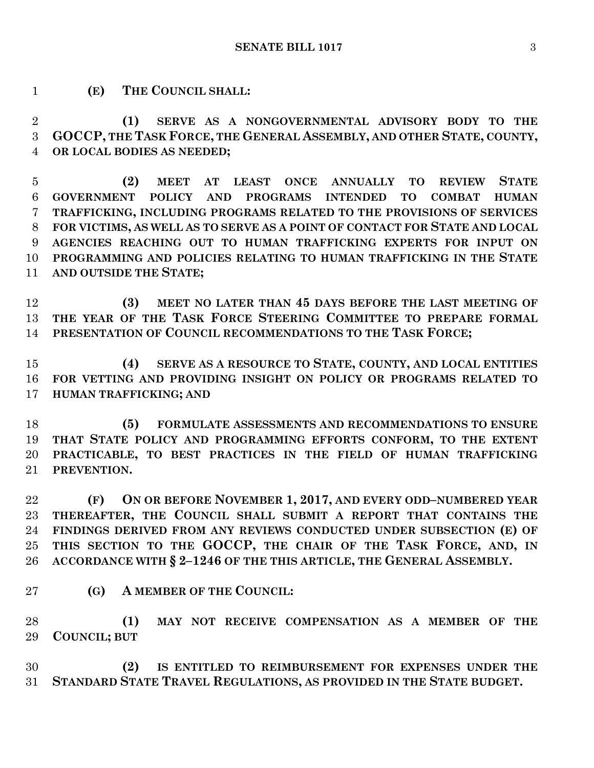**(E) THE COUNCIL SHALL:**

 **(1) SERVE AS A NONGOVERNMENTAL ADVISORY BODY TO THE GOCCP, THE TASK FORCE, THE GENERAL ASSEMBLY, AND OTHER STATE, COUNTY, OR LOCAL BODIES AS NEEDED;**

 **(2) MEET AT LEAST ONCE ANNUALLY TO REVIEW STATE GOVERNMENT POLICY AND PROGRAMS INTENDED TO COMBAT HUMAN TRAFFICKING, INCLUDING PROGRAMS RELATED TO THE PROVISIONS OF SERVICES FOR VICTIMS, AS WELL AS TO SERVE AS A POINT OF CONTACT FOR STATE AND LOCAL AGENCIES REACHING OUT TO HUMAN TRAFFICKING EXPERTS FOR INPUT ON PROGRAMMING AND POLICIES RELATING TO HUMAN TRAFFICKING IN THE STATE AND OUTSIDE THE STATE;**

 **(3) MEET NO LATER THAN 45 DAYS BEFORE THE LAST MEETING OF THE YEAR OF THE TASK FORCE STEERING COMMITTEE TO PREPARE FORMAL PRESENTATION OF COUNCIL RECOMMENDATIONS TO THE TASK FORCE;**

 **(4) SERVE AS A RESOURCE TO STATE, COUNTY, AND LOCAL ENTITIES FOR VETTING AND PROVIDING INSIGHT ON POLICY OR PROGRAMS RELATED TO HUMAN TRAFFICKING; AND**

 **(5) FORMULATE ASSESSMENTS AND RECOMMENDATIONS TO ENSURE THAT STATE POLICY AND PROGRAMMING EFFORTS CONFORM, TO THE EXTENT PRACTICABLE, TO BEST PRACTICES IN THE FIELD OF HUMAN TRAFFICKING PREVENTION.**

 **(F) ON OR BEFORE NOVEMBER 1, 2017, AND EVERY ODD–NUMBERED YEAR THEREAFTER, THE COUNCIL SHALL SUBMIT A REPORT THAT CONTAINS THE FINDINGS DERIVED FROM ANY REVIEWS CONDUCTED UNDER SUBSECTION (E) OF THIS SECTION TO THE GOCCP, THE CHAIR OF THE TASK FORCE, AND, IN ACCORDANCE WITH § 2–1246 OF THE THIS ARTICLE, THE GENERAL ASSEMBLY.**

**(G) A MEMBER OF THE COUNCIL:**

 **(1) MAY NOT RECEIVE COMPENSATION AS A MEMBER OF THE COUNCIL; BUT**

 **(2) IS ENTITLED TO REIMBURSEMENT FOR EXPENSES UNDER THE STANDARD STATE TRAVEL REGULATIONS, AS PROVIDED IN THE STATE BUDGET.**